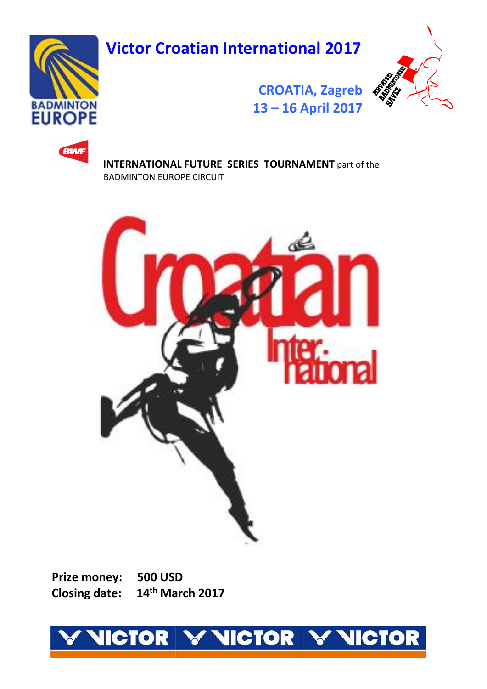**Victor Croatian International 2017**



**RATCHING** 

# **[CROATIA, Zagreb](http://badmintoneurope.com/) 13 – [16 April 2017](http://badmintoneurope.com/)**



 **INTERNATIONAL FUTURE SERIES TOURNAMENT** part of the BADMINTON EUROPE CIRCUIT



 **Prize money: 500 USD Closing date: th March 2017**

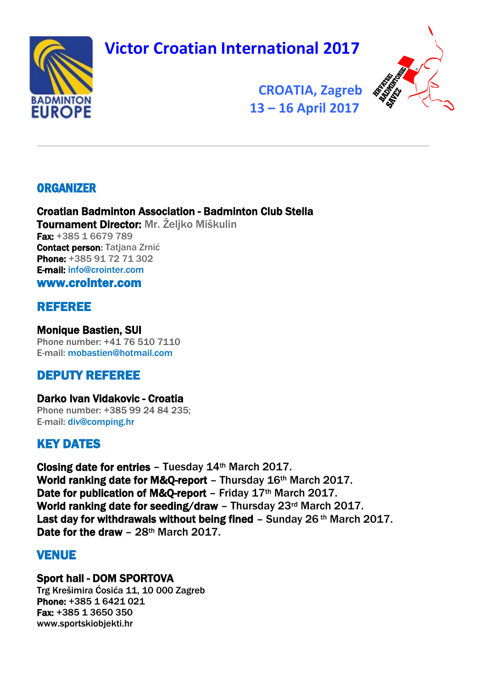**Victor Croatian International 2017** 





 **[CROATIA, Zagreb](http://badmintoneurope.com/)  [13](http://badmintoneurope.com/) – 16 April 2017**

# **ORGANIZER**

### Croatian Badminton Association - Badminton Club Stella Tournament Director: Mr. Željko Miškulin Fax: +385 1 6679 789

Contact person: Tatiana Zrnić Phone: +385 91 72 71 302 E-mail: [info@crointer.com](mailto:info@crointer.com)

[www.crointer.com](http://www.crointer.com/)

# REFEREE

#### Monique Bastien, SUI Phone number: +41 76 510 7110 E-mail: [mobastien@hotmail.com](mailto:mobastien@hotmail.com)

# DEPUTY REFEREE

#### Darko Ivan Vidakovic - Croatia Phone number: +385 99 24 84 235; E-mail: [div@comping.hr](mailto:div@comping.hr)

# KEY DATES

Closing date for entries – Tuesday 14th March 2017. World ranking date for M&O-report - Thursday 16th March 2017. Date for publication of M&Q-report - Friday 17th March 2017. World ranking date for seeding/draw - Thursday 23rd March 2017. Last day for withdrawals without being fined - Sunday 26<sup>th</sup> March 2017. Date for the draw - 28<sup>th</sup> March 2017.

# VENUE

# Sport hall - DOM SPORTOVA

Trg Krešimira Ćosića 11, 10 000 Zagreb Phone: +385 1 6421 021 Fax: +385 1 3650 350 [www.sportskiobjekti.hr](http://www.sportskiobjekti.hr/)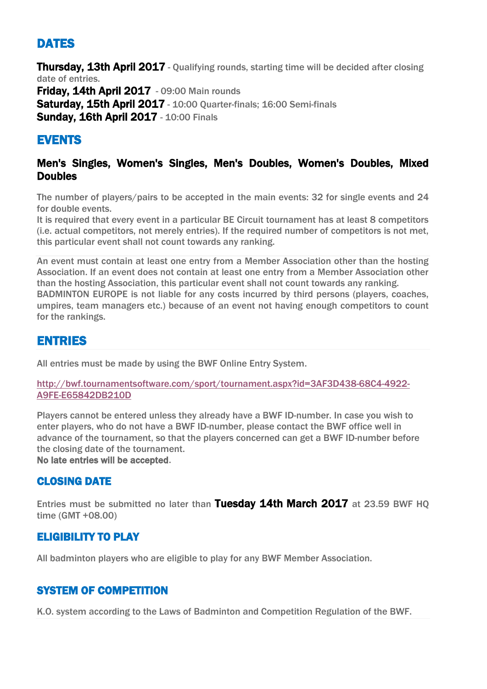# DATES

Thursday. 13th April 2017 - Qualifying rounds, starting time will be decided after closing date of entries. **Friday, 14th April 2017** - 09:00 Main rounds Saturday, 15th April 2017 - 10:00 Quarter-finals; 16:00 Semi-finals **Sunday, 16th April 2017 - 10:00 Finals** 

# EVENTS

### Men's Singles, Women's Singles, Men's Doubles, Women's Doubles, Mixed **Doubles**

The number of players/pairs to be accepted in the main events: 32 for single events and 24 for double events.

It is required that every event in a particular BE Circuit tournament has at least 8 competitors (i.e. actual competitors, not merely entries). If the required number of competitors is not met, this particular event shall not count towards any ranking.

An event must contain at least one entry from a Member Association other than the hosting Association. If an event does not contain at least one entry from a Member Association other than the hosting Association, this particular event shall not count towards any ranking. BADMINTON EUROPE is not liable for any costs incurred by third persons (players, coaches, umpires, team managers etc.) because of an event not having enough competitors to count for the rankings.

# ENTRIES

All entries must be made by using the BWF Online Entry System.

[http://bwf.tournamentsoftware.com/sport/tournament.aspx?id=3AF3D438-68C4-4922-](http://bwf.tournamentsoftware.com/sport/tournament.aspx?id=3AF3D438-68C4-4922-A9FE-E65842DB210D) [A9FE-E65842DB210D](http://bwf.tournamentsoftware.com/sport/tournament.aspx?id=3AF3D438-68C4-4922-A9FE-E65842DB210D)

Players cannot be entered unless they already have a BWF ID-number. In case you wish to enter players, who do not have a BWF ID-number, please contact the BWF office well in advance of the tournament, so that the players concerned can get a BWF ID-number before the closing date of the tournament. No late entries will be accepted.

CLOSING DATE

Entries must be submitted no later than Tuesday 14th March 2017 at 23.59 BWF HQ time (GMT +08.00)

### ELIGIBILITY TO PLAY

All badminton players who are eligible to play for any BWF Member Association.

## SYSTEM OF COMPETITION

K.O. system according to the Laws of Badminton and Competition Regulation of the BWF.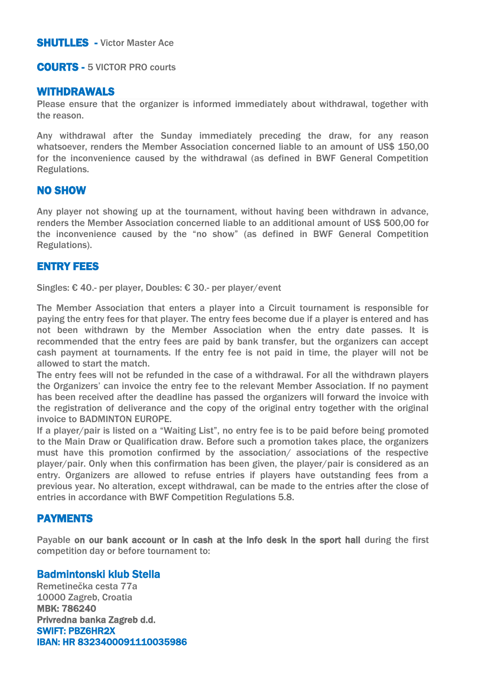#### COURTS - 5 VICTOR PRO courts

#### WITHDRAWALS

Please ensure that the organizer is informed immediately about withdrawal, together with the reason.

Any withdrawal after the Sunday immediately preceding the draw, for any reason whatsoever, renders the Member Association concerned liable to an amount of US\$ 150,00 for the inconvenience caused by the withdrawal (as defined in BWF General Competition Regulations.

#### NO SHOW

Any player not showing up at the tournament, without having been withdrawn in advance, renders the Member Association concerned liable to an additional amount of US\$ 500,00 for the inconvenience caused by the "no show" (as defined in BWF General Competition Regulations).

#### ENTRY FEES

Singles: € 40.- per player, Doubles: € 30.- per player/event

The Member Association that enters a player into a Circuit tournament is responsible for paying the entry fees for that player. The entry fees become due if a player is entered and has not been withdrawn by the Member Association when the entry date passes. It is recommended that the entry fees are paid by bank transfer, but the organizers can accept cash payment at tournaments. If the entry fee is not paid in time, the player will not be allowed to start the match.

The entry fees will not be refunded in the case of a withdrawal. For all the withdrawn players the Organizers' can invoice the entry fee to the relevant Member Association. If no payment has been received after the deadline has passed the organizers will forward the invoice with the registration of deliverance and the copy of the original entry together with the original invoice to BADMINTON EUROPE.

If a player/pair is listed on a "Waiting List", no entry fee is to be paid before being promoted to the Main Draw or Qualification draw. Before such a promotion takes place, the organizers must have this promotion confirmed by the association/ associations of the respective player/pair. Only when this confirmation has been given, the player/pair is considered as an entry. Organizers are allowed to refuse entries if players have outstanding fees from a previous year. No alteration, except withdrawal, can be made to the entries after the close of entries in accordance with BWF Competition Regulations 5.8.

#### PAYMENTS

Payable on our bank account or in cash at the info desk in the sport hall during the first competition day or before tournament to:

#### Badmintonski klub Stella

Remetinečka cesta 77a 10000 Zagreb, Croatia MBK: 786240 Privredna banka Zagreb d.d. SWIFT: PBZ6HR2X IBAN: HR 8323400091110035986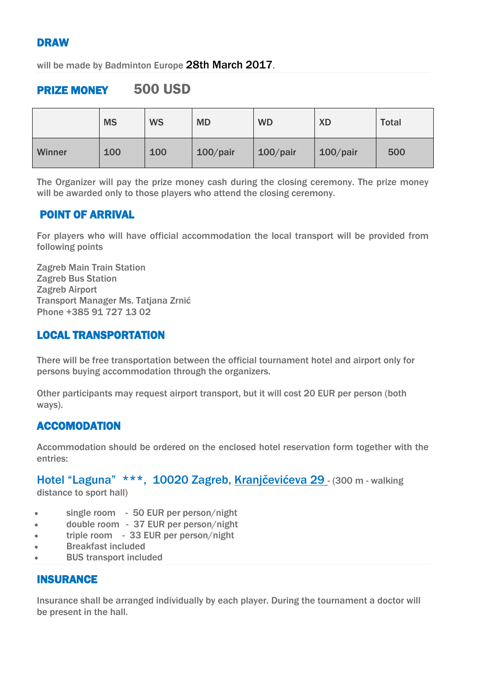# DRAW

will be made by Badminton Europe 28th March 2017.

# PRIZE MONEY 500 USD

|        | <b>MS</b> | <b>WS</b> | <b>MD</b>   | <b>WD</b>   | <b>XD</b>   | <b>Total</b> |
|--------|-----------|-----------|-------------|-------------|-------------|--------------|
| Winner | 100       | 100       | $100$ /pair | $100$ /pair | $100$ /pair | 500          |

The Organizer will pay the prize money cash during the closing ceremony. The prize money will be awarded only to those players who attend the closing ceremony.

### POINT OF ARRIVAL

For players who will have official accommodation the local transport will be provided from following points

Zagreb Main Train Station Zagreb Bus Station Zagreb Airport Transport Manager Ms. Tatjana Zrnić Phone +385 91 727 13 02

### LOCAL TRANSPORTATION

There will be free transportation between the official tournament hotel and airport only for persons buying accommodation through the organizers.

Other participants may request airport transport, but it will cost 20 EUR per person (both ways).

### ACCOMODATION

Accommodation should be ordered on the enclosed hotel reservation form together with the entries:

Hotel "Laguna" \*\*\*, 10020 Zagreb, Kranjčevićeva 29 - (300 m - walking

distance to sport hall)

- single room 50 EUR per person/night
- double room 37 EUR per person/night
- triple room 33 EUR per person/night
- Breakfast included
- BUS transport included

### INSURANCE

Insurance shall be arranged individually by each player. During the tournament a doctor will be present in the hall.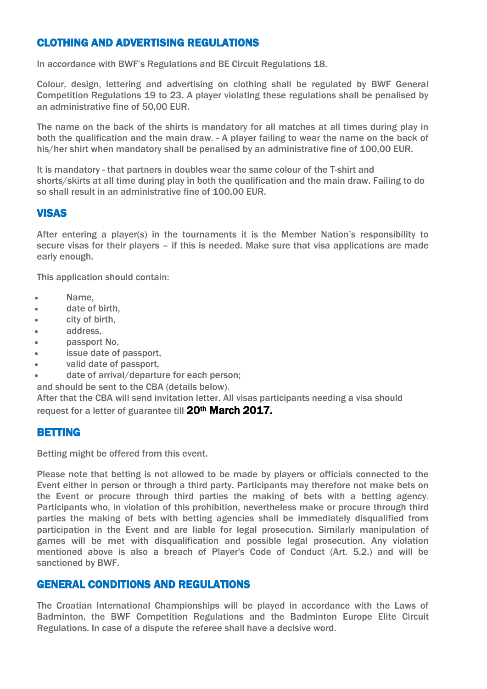### CLOTHING AND ADVERTISING REGULATIONS

In accordance with BWF's Regulations and BE Circuit Regulations 18.

Colour, design, lettering and advertising on clothing shall be regulated by BWF General Competition Regulations 19 to 23. A player violating these regulations shall be penalised by an administrative fine of 50,00 EUR.

The name on the back of the shirts is mandatory for all matches at all times during play in both the qualification and the main draw. - A player failing to wear the name on the back of his/her shirt when mandatory shall be penalised by an administrative fine of 100,00 EUR.

It is mandatory - that partners in doubles wear the same colour of the T-shirt and shorts/skirts at all time during play in both the qualification and the main draw. Failing to do so shall result in an administrative fine of 100,00 EUR.

### **VISAS**

After entering a player(s) in the tournaments it is the Member Nation's responsibility to secure visas for their players – if this is needed. Make sure that visa applications are made early enough.

This application should contain:

- Name,
- date of birth,
- city of birth,
- **address.**
- passport No,
- issue date of passport,
- valid date of passport,
- date of arrival/departure for each person;

and should be sent to the CBA (details below).

After that the CBA will send invitation letter. All visas participants needing a visa should request for a letter of guarantee till 20<sup>th</sup> March 2017.

#### BETTING

Betting might be offered from this event.

Please note that betting is not allowed to be made by players or officials connected to the Event either in person or through a third party. Participants may therefore not make bets on the Event or procure through third parties the making of bets with a betting agency. Participants who, in violation of this prohibition, nevertheless make or procure through third parties the making of bets with betting agencies shall be immediately disqualified from participation in the Event and are liable for legal prosecution. Similarly manipulation of games will be met with disqualification and possible legal prosecution. Any violation mentioned above is also a breach of Player's Code of Conduct (Art. 5.2.) and will be sanctioned by BWF.

### GENERAL CONDITIONS AND REGULATIONS

The Croatian International Championships will be played in accordance with the Laws of Badminton, the BWF Competition Regulations and the Badminton Europe Elite Circuit Regulations. In case of a dispute the referee shall have a decisive word.